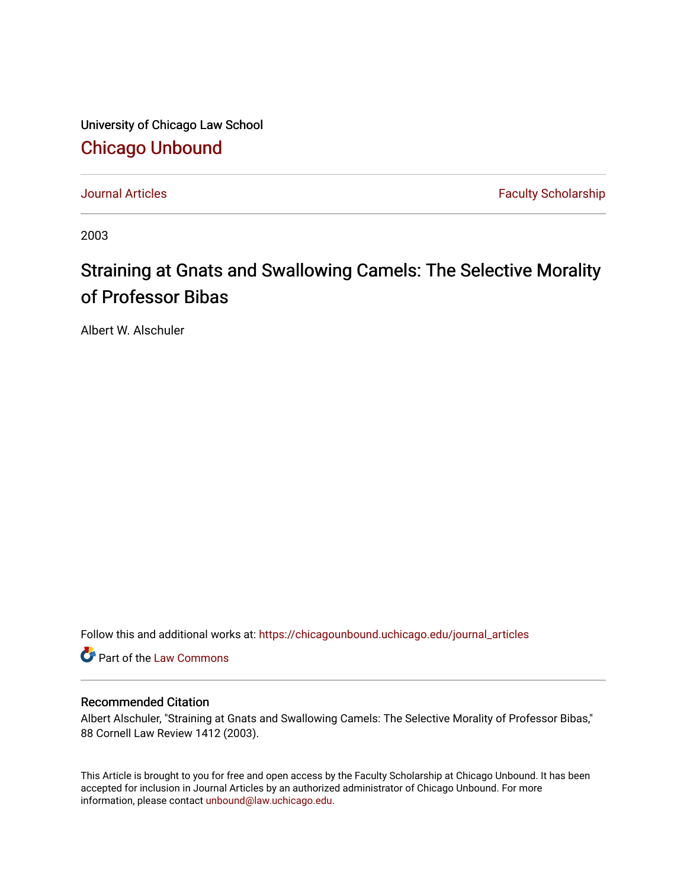University of Chicago Law School [Chicago Unbound](https://chicagounbound.uchicago.edu/)

[Journal Articles](https://chicagounbound.uchicago.edu/journal_articles) **Faculty Scholarship Journal Articles** 

2003

# Straining at Gnats and Swallowing Camels: The Selective Morality of Professor Bibas

Albert W. Alschuler

Follow this and additional works at: [https://chicagounbound.uchicago.edu/journal\\_articles](https://chicagounbound.uchicago.edu/journal_articles?utm_source=chicagounbound.uchicago.edu%2Fjournal_articles%2F1002&utm_medium=PDF&utm_campaign=PDFCoverPages) 

Part of the [Law Commons](http://network.bepress.com/hgg/discipline/578?utm_source=chicagounbound.uchicago.edu%2Fjournal_articles%2F1002&utm_medium=PDF&utm_campaign=PDFCoverPages)

## Recommended Citation

Albert Alschuler, "Straining at Gnats and Swallowing Camels: The Selective Morality of Professor Bibas," 88 Cornell Law Review 1412 (2003).

This Article is brought to you for free and open access by the Faculty Scholarship at Chicago Unbound. It has been accepted for inclusion in Journal Articles by an authorized administrator of Chicago Unbound. For more information, please contact [unbound@law.uchicago.edu](mailto:unbound@law.uchicago.edu).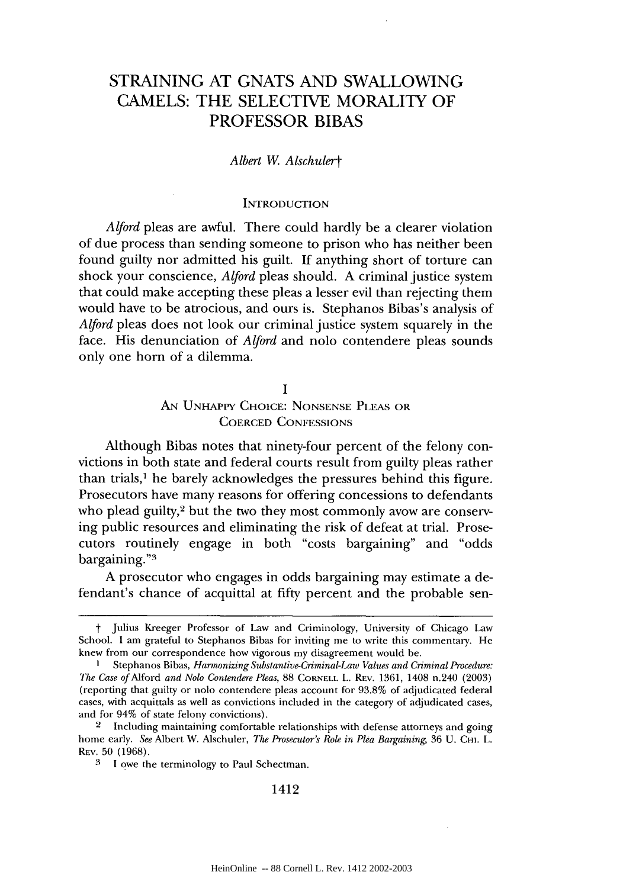# STRAINING AT GNATS AND SWALLOWING CAMELS: THE SELECTIVE MORALITY OF PROFESSOR BIBAS

#### *Albert W Alschulert*

#### **INTRODUCTION**

*Alford* pleas are awful. There could hardly be a clearer violation of due process than sending someone to prison who has neither been found guilty nor admitted his guilt. If anything short of torture can shock your conscience, *Alford* pleas should. A criminal justice system that could make accepting these pleas a lesser evil than rejecting them would have to be atrocious, and ours is. Stephanos Bibas's analysis of *Alford* pleas does not look our criminal justice system squarely in the face. His denunciation of *Alford* and nolo contendere pleas sounds only one horn of a dilemma.

> **I** AN UNHAPPY CHOICE: NONSENSE PLEAS OR COERCED CONFESSIONS

Although Bibas notes that ninety-four percent of the felony convictions in both state and federal courts result from guilty pleas rather than trials,' he barely acknowledges the pressures behind this figure. Prosecutors have many reasons for offering concessions to defendants who plead guilty,<sup>2</sup> but the two they most commonly avow are conserving public resources and eliminating the risk of defeat at trial. Prosecutors routinely engage in both "costs bargaining" and "odds bargaining."3

A prosecutor who engages in odds bargaining may estimate a defendant's chance of acquittal at fifty percent and the probable sen-

1412

t Julius Kreeger Professor of Law and Criminology, University of Chicago Law School. I am grateful to Stephanos Bibas for inviting me to write this commentary. He knew from our correspondence how vigorous my disagreement would be.

**<sup>I</sup>**Stephanos Bibas, *Harmonizing Substantive-Criminal-Law Values and Criminal Procedure: The Case of* Alford *and* Nolo *Contendere Pleas,* 88 CORNELL L. REV. 1361, 1408 n.240 (2003) (reporting that guilty or nolo contendere pleas account for 93.8% of adjudicated federal cases, with acquittals as well as convictions included in the category of adjudicated cases, and for 94% of state felony convictions).

<sup>&</sup>lt;sup>2</sup> Including maintaining comfortable relationships with defense attorneys and going home early. *See* Albert W. Alschuler, *The Prosecutor's Role in Plea Bargaining,* 36 U. CHI. L. REV. 50 (1968).

**<sup>3</sup>**1 owe the terminology to Paul Schectman.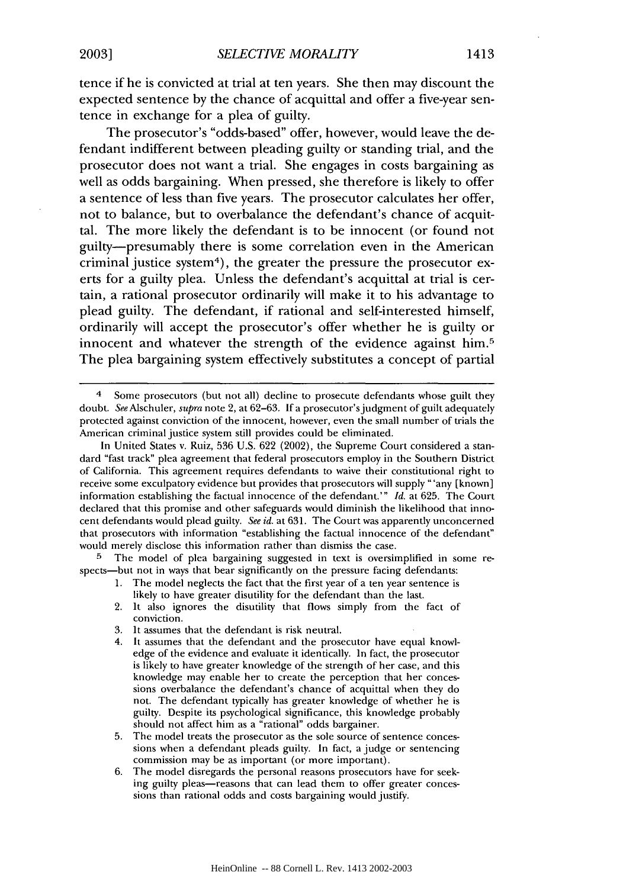tence if he is convicted at trial at ten years. She then may discount the expected sentence by the chance of acquittal and offer a five-year sentence in exchange for a plea of guilty.

The prosecutor's "odds-based" offer, however, would leave the defendant indifferent between pleading guilty or standing trial, and the prosecutor does not want a trial. She engages in costs bargaining as well as odds bargaining. When pressed, she therefore is likely to offer a sentence of less than five years. The prosecutor calculates her offer, not to balance, but to overbalance the defendant's chance of acquittal. The more likely the defendant is to be innocent (or found not guilty-presumably there is some correlation even in the American criminal justice system<sup>4</sup>), the greater the pressure the prosecutor exerts for a guilty plea. Unless the defendant's acquittal at trial is certain, a rational prosecutor ordinarily will make it to his advantage to plead guilty. The defendant, if rational and self-interested himself, ordinarily will accept the prosecutor's offer whether he is guilty or innocent and whatever the strength of the evidence against him.<sup>5</sup> The plea bargaining system effectively substitutes a concept of partial

The model of plea bargaining suggested in text is oversimplified in some respects-but not in ways that bear significantly on the pressure facing defendants:

- 1. The model neglects the fact that the first year of a ten year sentence is likely to have greater disutility for the defendant than the last.
- 2. It also ignores the disutility that flows simply from the fact of conviction.
- 3. It assumes that the defendant is risk neutral.
- 4. It assumes that the defendant and the prosecutor have equal knowledge of the evidence and evaluate it identically. In fact, the prosecutor is likely to have greater knowledge of the strength of her case, and this knowledge may enable her to create the perception that her concessions overbalance the defendant's chance of acquittal when they do not. The defendant typically has greater knowledge of whether he is guilty. Despite its psychological significance, this knowledge probably should not affect him as a "rational" odds bargainer.
- 5. The model treats the prosecutor as the sole source of sentence concessions when a defendant pleads guilty. In fact, a judge or sentencing commission may be as important (or more important).
- 6. The model disregards the personal reasons prosecutors have for seeking guilty pleas—reasons that can lead them to offer greater concessions than rational odds and costs bargaining would justify.

<sup>4</sup> Some prosecutors (but not all) decline to prosecute defendants whose guilt they doubt. *See* Alschuler, *supra* note 2, at 62-63. If a prosecutor's judgment of guilt adequately protected against conviction of the innocent, however, even the small number of trials the American criminal justice system still provides could be eliminated.

In United States v. Ruiz, 536 U.S. 622 (2002), the Supreme Court considered a standard "fast track" plea agreement that federal prosecutors employ in the Southern District of California. This agreement requires defendants to waive their constitutional right to receive some exculpatory evidence but provides that prosecutors will supply "'any [known] information establishing the factual innocence of the defendant.'" *Id.* at 625. The Court declared that this promise and other safeguards would diminish the likelihood that innocent defendants would plead guilty. *See id.* at 631. The Court was apparently unconcerned that prosecutors with information "establishing the factual innocence of the defendant" would merely disclose this information rather than dismiss the case.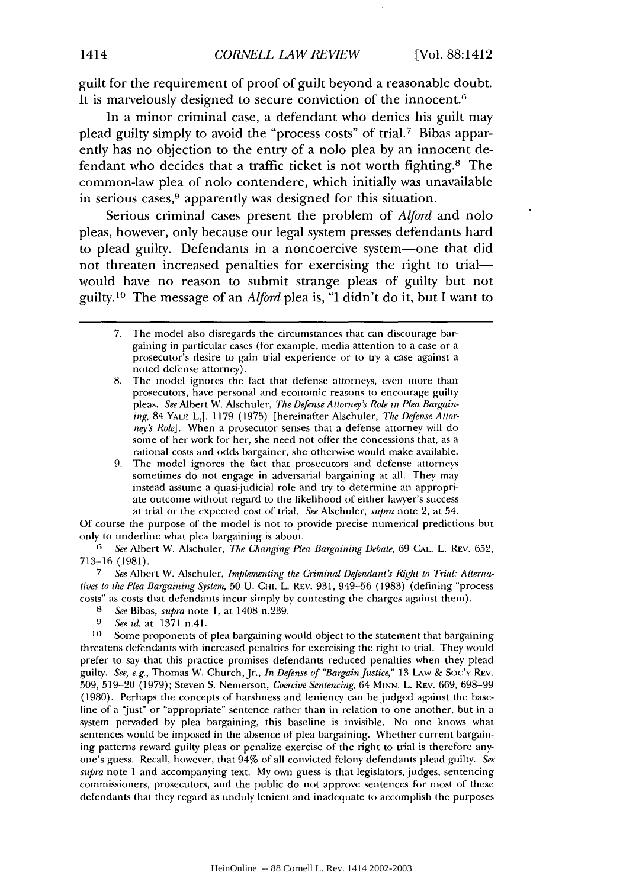guilt for the requirement of proof of guilt beyond a reasonable doubt. It is marvelously designed to secure conviction of the innocent.<sup>6</sup>

In a minor criminal case, a defendant who denies his guilt may plead guilty simply to avoid the "process costs" of trial.7 Bibas apparently has no objection to the entry of a nolo plea by an innocent defendant who decides that a traffic ticket is not worth fighting.8 The common-law plea of nolo contendere, which initially was unavailable in serious cases,<sup>9</sup> apparently was designed for this situation.

Serious criminal cases present the problem of *Alford* and nolo pleas, however, only because our legal system presses defendants hard to plead guilty. Defendants in a noncoercive system-one that did not threaten increased penalties for exercising the right to trialwould have no reason to submit strange pleas of guilty but not guilty.<sup>10</sup> The message of an *Alford* plea is, "I didn't do it, but I want to

8. The model ignores the fact that defense attorneys, even more than prosecutors, have personal and economic reasons to encourage guilty pleas. *See* Albert W. Alschuler, *The Defense Attorney's Role in Plea Bargain*ing, 84 YALE L.J. 1179 (1975) [hereinafter Alschuler, *The Defense Attorney's Role].* When a prosecutor senses that a defense attorney will do some of her work for her, she need not offer the concessions that, as a rational costs and odds bargainer, she otherwise would make available.

9. The model ignores the fact that prosecutors and defense attorneys sometimes do not engage in adversarial bargaining at all. They may instead assume a quasi-judicial role and try to determine an appropriate outcome without regard to the likelihood of either lawyer's success at trial or the expected cost of trial. *See* Alschuler, *supra* note 2, at 54.

Of course the purpose of the model is not to provide precise numerical predictions but only to underline what plea bargaining is about.

*6 See* Albert W. Alschuler, *The Changing Plea Bargaining Debate,* 69 **CAL.** L. REV. 652, 713-16 (1981).

*7 See* Albert W. Alschuler, *inplementing the Criminal Defendant's Right to Trial. Alternatives to the Plea Bargaining System,* 50 U. Ci-i. L. **REV.** 931, 949-56 (1983) (defining "process costs" as costs that defendants incur simply by contesting the charges against them).

- **8** *See* Bibas, *supra* note 1, at 1408 n.239.
- **9** *See id.* at 1371 n.41.

<sup>10</sup> Some proponents of plea bargaining would object to the statement that bargaining threatens defendants with increased penalties for exercising the right to trial. They would prefer to say that this practice promises defendants reduced penalties when they plead guilty. *See, e.g.,* Thomas W. Church, Jr., *In Defense of "Bargain Justice,"* 13 LAw & Soc'v REV. 509, 519-20 (1979); Steven S. Nemerson, *Coercive Sentencing,* 64 MINN. L. REV. 669, 698-99 (1980). Perhaps the concepts of harshness and leniency can be judged against the baseline of a 'just" or "appropriate" sentence rather than in relation to one another, but in a system pervaded by plea bargaining, this baseline is invisible. No one knows what sentences would be imposed in the absence of plea bargaining. Whether current bargaining patterns reward guilty pleas or penalize exercise of the right to trial is therefore anyone's guess. Recall, however, that 94% of all convicted felony defendants plead guilty. *See supra* note 1 and accompanying text. My own guess is that legislators, judges, sentencing commissioners, prosecutors, and the public do not approve sentences for most of these defendants that they regard as unduly lenient and inadequate to accomplish the purposes

<sup>7.</sup> The model also disregards the circumstances that can discourage bargaining in particular cases (for example, media attention to a case or a prosecutor's desire to gain trial experience or to try a case against a noted defense attorney).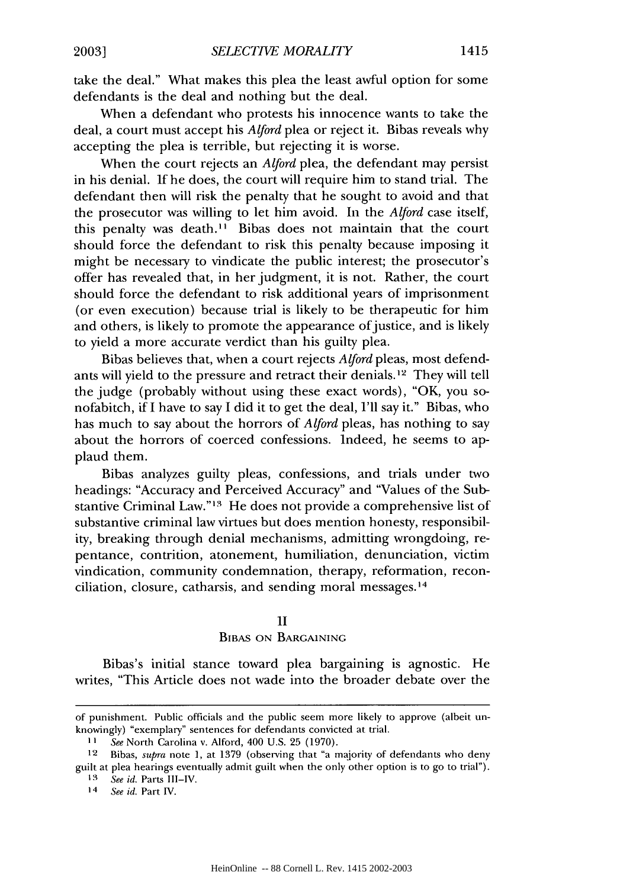take the deal." What makes this plea the least awful option for some defendants is the deal and nothing but the deal.

When a defendant who protests his innocence wants to take the deal, a court must accept his *Alford* plea or reject it. Bibas reveals why accepting the plea is terrible, but rejecting it is worse.

When the court rejects an *Alford* plea, the defendant may persist in his denial. If he does, the court will require him to stand trial. The defendant then will risk the penalty that he sought to avoid and that the prosecutor was willing to let him avoid. In the *Aljbrd* case itself, this penalty was death." Bibas does not maintain that the court should force the defendant to risk this penalty because imposing it might be necessary to vindicate the public interest; the prosecutor's offer has revealed that, in her judgment, it is not. Rather, the court should force the defendant to risk additional years of imprisonment (or even execution) because trial is likely to be therapeutic for him and others, is likely to promote the appearance of justice, and is likely to yield a more accurate verdict than his guilty plea.

Bibas believes that, when a court rejects *Alford* pleas, most defendants will yield to the pressure and retract their denials. ' 2 They will tell the judge (probably without using these exact words), "OK, you sonofabitch, if I have to say I did it to get the deal, I'll say it." Bibas, who has much to say about the horrors of *Alford* pleas, has nothing to say about the horrors of coerced confessions. Indeed, he seems to applaud them.

Bibas analyzes guilty pleas, confessions, and trials under two headings: "Accuracy and Perceived Accuracy" and "Values of the Substantive Criminal Law."<sup>13</sup> He does not provide a comprehensive list of substantive criminal law virtues but does mention honesty, responsibility, breaking through denial mechanisms, admitting wrongdoing, repentance, contrition, atonement, humiliation, denunciation, victim vindication, community condemnation, therapy, reformation, reconciliation, closure, catharsis, and sending moral messages.<sup>14</sup>

#### II

#### BIBAS **ON BARGAINING**

Bibas's initial stance toward plea bargaining is agnostic. He writes, "This Article does not wade into the broader debate over the

of punishment. Public officials and the public seem more likely to approve (albeit unknowingly) "exemplary" sentences for defendants convicted at trial.

**I I** See North Carolina v. Alford, 400 U.S. 25 (1970).

<sup>12</sup> Bibas, supra note **1,** at 1379 (observing that "a majority of defendants who deny guilt at plea hearings eventually admit guilt when the only other option is to go to trial").

<sup>13</sup> See id. Parts III-IV.

<sup>14</sup> See id. Part IV.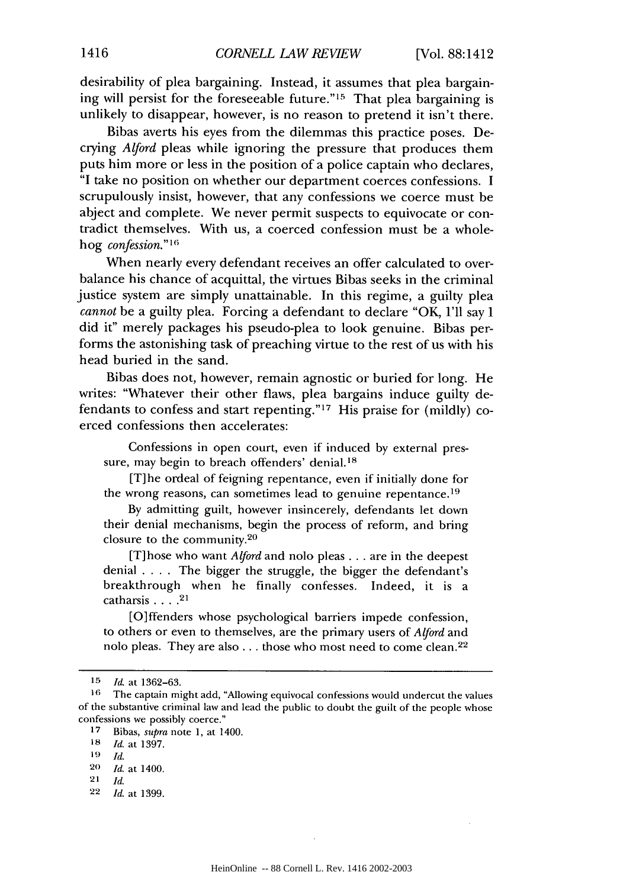desirability of plea bargaining. Instead, it assumes that plea bargaining will persist for the foreseeable future."<sup>15</sup> That plea bargaining is unlikely to disappear, however, is no reason to pretend it isn't there.

Bibas averts his eyes from the dilemmas this practice poses. Decrying *Alford* pleas while ignoring the pressure that produces them puts him more or less in the position of a police captain who declares, "I take no position on whether our department coerces confessions. I scrupulously insist, however, that any confessions we coerce must be abject and complete. We never permit suspects to equivocate or contradict themselves. With us, a coerced confession must be a wholehog *confession." <sup>16</sup>*

When nearly every defendant receives an offer calculated to overbalance his chance of acquittal, the virtues Bibas seeks in the criminal justice system are simply unattainable. In this regime, a guilty plea *cannot* be a guilty plea. Forcing a defendant to declare "OK, I'll say I did it" merely packages his pseudo-plea to look genuine. Bibas performs the astonishing task of preaching virtue to the rest of us with his head buried in the sand.

Bibas does not, however, remain agnostic or buried for long. He writes: "Whatever their other flaws, plea bargains induce guilty defendants to confess and start repenting."<sup>17</sup> His praise for (mildly) coerced confessions then accelerates:

Confessions in open court, even if induced by external pressure, may begin to breach offenders' denial.'8

[T]he ordeal of feigning repentance, even if initially done for the wrong reasons, can sometimes lead to genuine repentance.<sup>19</sup>

By admitting guilt, however insincerely, defendants let down their denial mechanisms, begin the process of reform, and bring closure to the community. $20$ 

[T] hose who want *Alford* and nolo pleas.., are in the deepest denial .... The bigger the struggle, the bigger the defendant's breakthrough when he finally confesses. Indeed, it is a catharsis **....** <sup>21</sup>

[O]ffenders whose psychological barriers impede confession, to others or even to themselves, are the primary users of *Alford* and nolo pleas. They are also... those who most need to come clean. <sup>22</sup>

22 *Id.* at 1399.

*<sup>15</sup> Id.* at 1362-63.

**<sup>16</sup>** The captain might add, "Allowing equivocal confessions would undercut the values of the substantive criminal law and lead the public to doubt the guilt of the people whose confessions we possibly coerce."

**<sup>17</sup>** Bibas, supra note **1,** at 1400.

**<sup>18</sup>** *Id.* at 1397.

**<sup>19</sup>** *Id.*

**<sup>20</sup>** *Id.* at 1400.

**<sup>21</sup>** *Id.*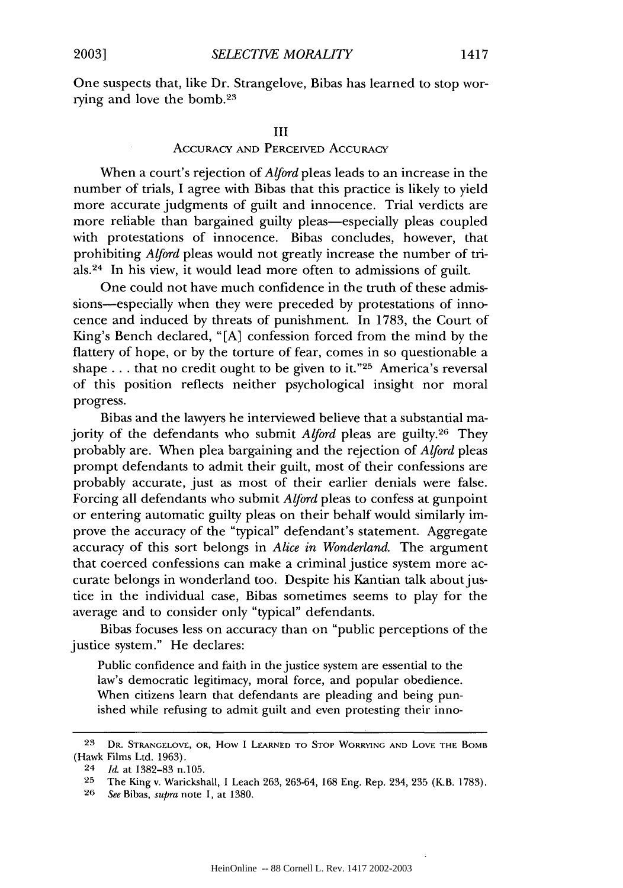One suspects that, like Dr. Strangelove, Bibas has learned to stop worrying and love the bomb.23

#### III

### **ACCURACY AND** PERCEIVED **ACCURACY**

When a court's rejection of *Alford* pleas leads to an increase in the number of trials, I agree with Bibas that this practice is likely to yield more accurate judgments of guilt and innocence. Trial verdicts are more reliable than bargained guilty pleas—especially pleas coupled with protestations of innocence. Bibas concludes, however, that prohibiting *Alford* pleas would not greatly increase the number of trials.24 In his view, it would lead more often to admissions of guilt.

One could not have much confidence in the truth of these admissions—especially when they were preceded by protestations of innocence and induced by threats of punishment. In 1783, the Court of King's Bench declared, "[A] confession forced from the mind by the flattery of hope, or by the torture of fear, comes in so questionable a shape **...** that no credit ought to be given to it."25 America's reversal of this position reflects neither psychological insight nor moral progress.

Bibas and the lawyers he interviewed believe that a substantial majority of the defendants who submit *Alford* pleas are guilty.26 They probably are. When plea bargaining and the rejection of *Alford* pleas prompt defendants to admit their guilt, most of their confessions are probably accurate, just as most of their earlier denials were false. Forcing all defendants who submit *Alford* pleas to confess at gunpoint or entering automatic guilty pleas on their behalf would similarly improve the accuracy of the "typical" defendant's statement. Aggregate accuracy of this sort belongs in *Alice in Wonderland.* The argument that coerced confessions can make a criminal justice system more accurate belongs in wonderland too. Despite his Kantian talk about justice in the individual case, Bibas sometimes seems to play for the average and to consider only "typical" defendants.

Bibas focuses less on accuracy than on "public perceptions of the justice system." He declares:

Public confidence and faith in the justice system are essential to the law's democratic legitimacy, moral force, and popular obedience. When citizens learn that defendants are pleading and being punished while refusing to admit guilt and even protesting their inno-

**<sup>23</sup> DR. STRANGELOVE, OR,** How I LEARNED **TO STOP** WORRYING **AND LOVE THE** BOMB (Hawk Films Ltd. 1963).

<sup>24</sup> *Id.* at 1382-83 n.105.

**<sup>25</sup>** The King v. Warickshall, **I** Leach 263, 263-64, 168 Eng. Rep. 234, 235 (K.B. 1783).

**<sup>26</sup>** See Bibas, supra note 1, at 1380.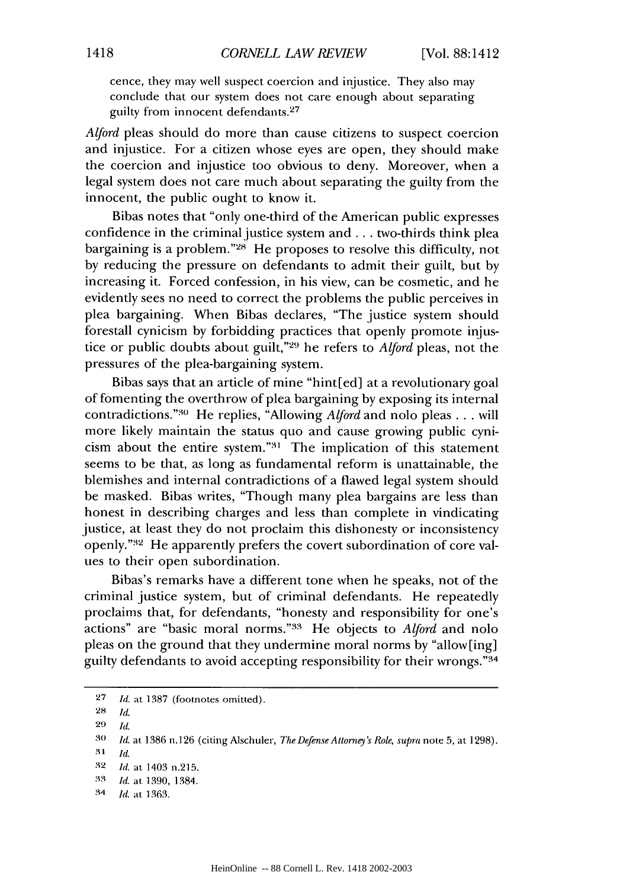cence, they may well suspect coercion and injustice. They also may conclude that our system does not care enough about separating guilty from innocent defendants.<sup>27</sup>

*Alford* pleas should do more than cause citizens to suspect coercion and injustice. For a citizen whose eyes are open, they should make the coercion and injustice too obvious to deny. Moreover, when a legal system does not care much about separating the guilty from the innocent, the public ought to know it.

Bibas notes that "only one-third of the American public expresses confidence in the criminal justice system and **...** two-thirds think plea bargaining is a problem."<sup>28</sup> He proposes to resolve this difficulty, not by reducing the pressure on defendants to admit their guilt, but by increasing it. Forced confession, in his view, can be cosmetic, and he evidently sees no need to correct the problems the public perceives in plea bargaining. When Bibas declares, "The justice system should forestall cynicism by forbidding practices that openly promote injustice or public doubts about guilt,"<sup>29</sup> he refers to *Alford* pleas, not the pressures of the plea-bargaining system.

Bibas says that an article of mine "hint[ed] at a revolutionary goal of fomenting the overthrow of plea bargaining by exposing its internal contradictions."<sup>30</sup> He replies, "Allowing *Alford* and nolo pleas . . . will more likely maintain the status quo and cause growing public cynicism about the entire system."<sup>31</sup> The implication of this statement seems to be that, as long as fundamental reform is unattainable, the blemishes and internal contradictions of a flawed legal system should be masked. Bibas writes, "Though many plea bargains are less than honest in describing charges and less than complete in vindicating justice, at least they do not proclaim this dishonesty or inconsistency openly." 32 He apparently prefers the covert subordination of core values to their open subordination.

Bibas's remarks have a different tone when he speaks, not of the criminal justice system, but of criminal defendants. He repeatedly proclaims that, for defendants, "honesty and responsibility for one's actions" are "basic moral norms."33 He objects to *Alford* and nolo pleas on the ground that they undermine moral norms by "allow[ing] guilty defendants to avoid accepting responsibility for their wrongs. '34

**<sup>27</sup>** *Id.* at 1387 (footnotes omitted).

**<sup>28</sup> 1,.**

**<sup>29</sup> Id.**

<sup>30</sup> *Id.* at 1386 n.126 (citing Alschuler, *The Defense Attorney's Role, supra* note 5, at 1298).

**<sup>3&#</sup>x27;1** *Id.*

**<sup>32</sup>** *Id.* at 1403 n.215.

**<sup>3 -3</sup>** *id.* at 1390, 1384.

<sup>34</sup> *Id.* at 1363.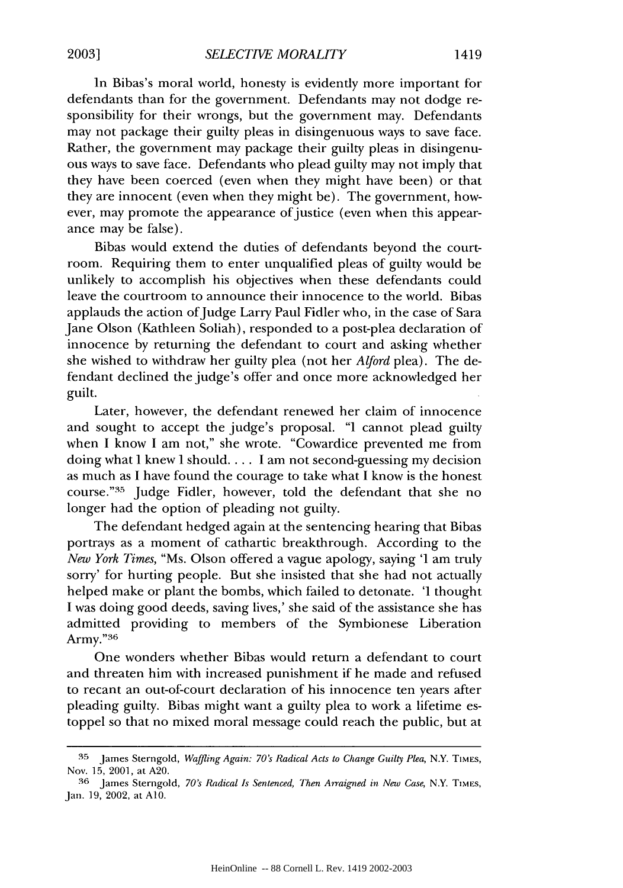In Bibas's moral world, honesty is evidently more important for defendants than for the government. Defendants may not dodge responsibility for their wrongs, but the government may. Defendants may not package their guilty pleas in disingenuous ways to save face. Rather, the government may package their guilty pleas in disingenuous ways to save face. Defendants who plead guilty may not imply that they have been coerced (even when they might have been) or that they are innocent (even when they might be). The government, however, may promote the appearance of justice (even when this appearance may be false).

Bibas would extend the duties of defendants beyond the courtroom. Requiring them to enter unqualified pleas of guilty would be unlikely to accomplish his objectives when these defendants could leave the courtroom to announce their innocence to the world. Bibas applauds the action of Judge Larry Paul Fidler who, in the case of Sara Jane Olson (Kathleen Soliah), responded to a post-plea declaration of innocence by returning the defendant to court and asking whether she wished to withdraw her guilty plea (not her *Alford* plea). The defendant declined the judge's offer and once more acknowledged her guilt.

Later, however, the defendant renewed her claim of innocence and sought to accept the judge's proposal. "I cannot plead guilty when I know I am not," she wrote. "Cowardice prevented me from doing what I knew I should.... I am not second-guessing my decision as much as I have found the courage to take what I know is the honest course." <sup>35</sup> Judge Fidler, however, told the defendant that she no longer had the option of pleading not guilty.

The defendant hedged again at the sentencing hearing that Bibas portrays as a moment of cathartic breakthrough. According to the *New York Times,* "Ms. Olson offered a vague apology, saying 'I am truly sorry' for hurting people. But she insisted that she had not actually helped make or plant the bombs, which failed to detonate. 'I thought I was doing good deeds, saving lives,' she said of the assistance she has admitted providing to members of the Symbionese Liberation Army."<sup>36</sup>

One wonders whether Bibas would return a defendant to court and threaten him with increased punishment if he made and refused to recant an out-of-court declaration of his innocence ten years after pleading guilty. Bibas might want a guilty plea to work a lifetime estoppel so that no mixed moral message could reach the public, but at

**<sup>35</sup>**James Sterngold, *Waffling Again: 70's Radical Acts to Change Guilty Plea,* N.Y. TIMES, Nov. 15, 2001, at A20.

**<sup>36</sup>** James Sterngold, *70's Radical Is Sentenced, Then Arraigned in New Case,* N.Y. TIM.S, Jan. 19, 2002, at **A10.**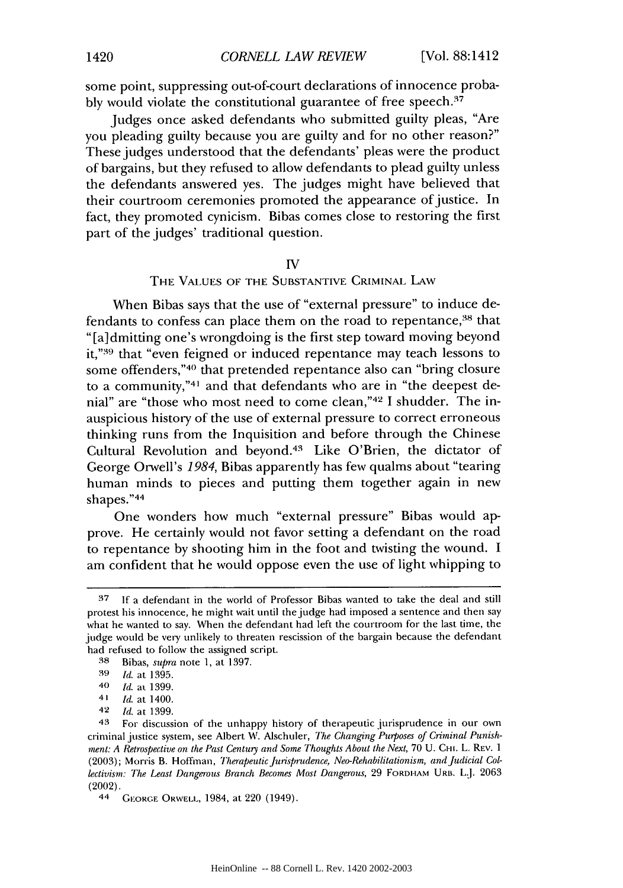some point, suppressing out-of-court declarations of innocence probably would violate the constitutional guarantee of free speech.<sup>37</sup>

Judges once asked defendants who submitted guilty pleas, "Are you pleading guilty because you are guilty and for no other reason?" These judges understood that the defendants' pleas were the product of bargains, but they refused to allow defendants to plead guilty unless the defendants answered yes. The judges might have believed that their courtroom ceremonies promoted the appearance of justice. In fact, they promoted cynicism. Bibas comes close to restoring the first part of the judges' traditional question.

#### IV

#### THE VALUES OF THE SUBSTANTIVE CRIMINAL LAW

When Bibas says that the use of "external pressure" to induce defendants to confess can place them on the road to repentance,<sup>38</sup> that "[a] dmitting one's wrongdoing is the first step toward moving beyond it,"<sup>39</sup> that "even feigned or induced repentance may teach lessons to some offenders,"<sup>40</sup> that pretended repentance also can "bring closure to a community,"4' and that defendants who are in "the deepest denial" are "those who most need to come clean,"<sup>42</sup> I shudder. The inauspicious history of the use of external pressure to correct erroneous thinking runs from the Inquisition and before through the Chinese Cultural Revolution and beyond.43 Like O'Brien, the dictator of George Orwell's *1984,* Bibas apparently has few qualms about "tearing human minds to pieces and putting them together again in new shapes."44

One wonders how much "external pressure" Bibas would approve. He certainly would not favor setting a defendant on the road to repentance by shooting him in the foot and twisting the wound. I am confident that he would oppose even the use of light whipping to

**<sup>37</sup>** If a defendant in the world of Professor Bibas wanted to take the deal and still protest his innocence, he might wait until the judge had imposed a sentence and then say what he wanted to say. When the defendant had left the courtroom for the last time, the judge would be very unlikely to threaten rescission of the bargain because the defendant had refised to follow the assigned script.

**<sup>38</sup>** Bibas, *supra* note 1, at 1397.

**<sup>39</sup>** *Id.* at 1395.

**<sup>40</sup>** *Id.* at 1399.

<sup>41</sup>*Id.* at 1400.

<sup>42</sup> *Id.* at 1399.

<sup>43</sup> For discussion of the unhappy history of therapeutic jurisprudence in our own criminal justice system, see Albert W. Alschuler, *The Changing Purposes of Criminal Punishment: A Retrospective on the Past Century and Some Thoughts About the Next, 70 U. CHI. L. REV. 1* (2003); Morris B. Hoffman, *Therapeutic Jurisprudence, Neo-Rehabilitationism, and Judicial Collectivism: The Least Dangerous Branch Becomes Most Dangerous,* 29 FORDIAM URn. L.J. 2063 (2002).

<sup>44</sup> **GEORGE** ORWELL, 1984, at 220 (1949).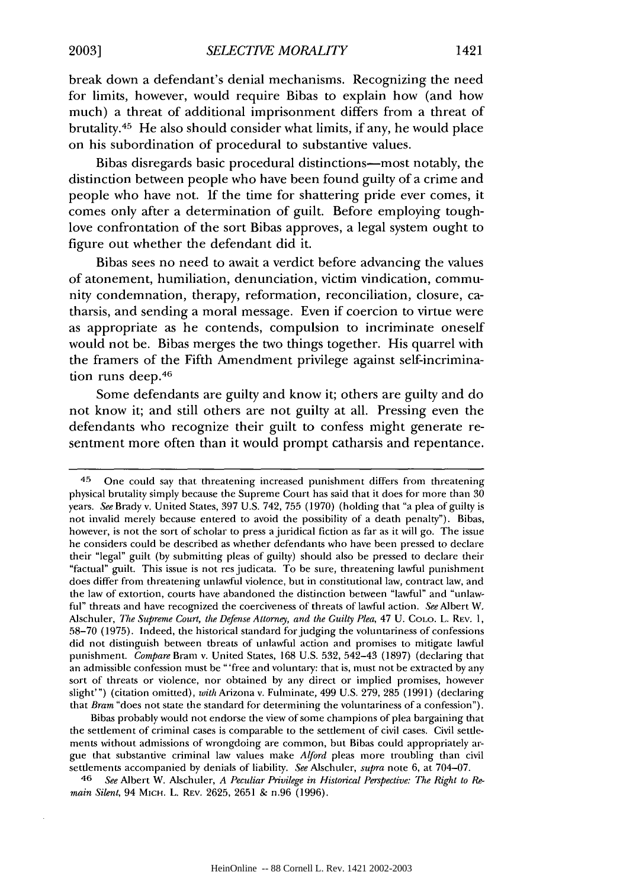break down a defendant's denial mechanisms. Recognizing the need for limits, however, would require Bibas to explain how (and how much) a threat of additional imprisonment differs from a threat of brutality. 45 He also should consider what limits, if any, he would place on his subordination of procedural to substantive values.

Bibas disregards basic procedural distinctions-most notably, the distinction between people who have been found guilty of a crime and people who have not. If the time for shattering pride ever comes, it comes only after a determination of guilt. Before employing toughlove confrontation of the sort Bibas approves, a legal system ought to figure out whether the defendant did it.

Bibas sees no need to await a verdict before advancing the values of atonement, humiliation, denunciation, victim vindication, community condemnation, therapy, reformation, reconciliation, closure, catharsis, and sending a moral message. Even if coercion to virtue were as appropriate as he contends, compulsion to incriminate oneself would not be. Bibas merges the two things together. His quarrel with the framers of the Fifth Amendment privilege against self-incrimination runs deep.<sup>46</sup>

Some defendants are guilty and know it; others are guilty and do not know it; and still others are not guilty at all. Pressing even the defendants who recognize their guilt to confess might generate resentment more often than it would prompt catharsis and repentance.

Bibas probably would not endorse the view of some champions of plea bargaining that the settlement of criminal cases is comparable to the settlement of civil cases. Civil settlements without admissions of wrongdoing are common, but Bibas could appropriately argue that substantive criminal law values make *Alford* pleas more troubling than civil settlements accompanied by denials of liability. *See* Alschuler, *supra* note 6, at 704-07.

46 *See* Albert W. Alschuler, *A Peculiar Privilege in Historical Perspective: The Right to Remain Silent,* 94 MICH. L. REV. 2625, 2651 & n.96 (1996).

<sup>45</sup> One could say that threatening increased punishment differs from threatening physical brutality simply because the Supreme Court has said that it does for more than 30 years. *See* Brady v. United States, 397 U.S. 742, 755 (1970) (holding that "a plea of guilty is not invalid merely because entered to avoid the possibility of a death penalty"). Bibas, however, is not the sort of scholar to press a juridical fiction as far as it will go. The issue he considers could be described as whether defendants who have been pressed to declare their "legal" guilt (by submitting pleas of guilty) should also be pressed to declare their "factual" guilt. This issue is not res judicata. To be sure, threatening lawful punishment does differ from threatening unlawful violence, but in constitutional law, contract law, and the law of extortion, courts have abandoned the distinction between "lawful" and "unlawful" threats and have recognized the coerciveness of threats of lawful action. *See* Albert W. Alschuler, *The Supreme Court, the Defense Attorney, and the Guilty Plea,* 47 U. COLO. L. REV. 1, 58-70 (1975). Indeed, the historical standard for judging the voluntariness of confessions did not distinguish between threats of unlawful action and promises to mitigate lawful punishment. *Compare* Bram v. United States, 168 U.S. 532, 542-43 (1897) (declaring that an admissible confession must be "'free and voluntary: that is, must not be extracted by any sort of threats or violence, nor obtained by any direct or implied promises, however slight'") (citation omitted), *with* Arizona v. Fulminate, 499 U.S. 279, 285 (1991) (declaring that *Bram* "does not state the standard for determining the voluntariness of a confession").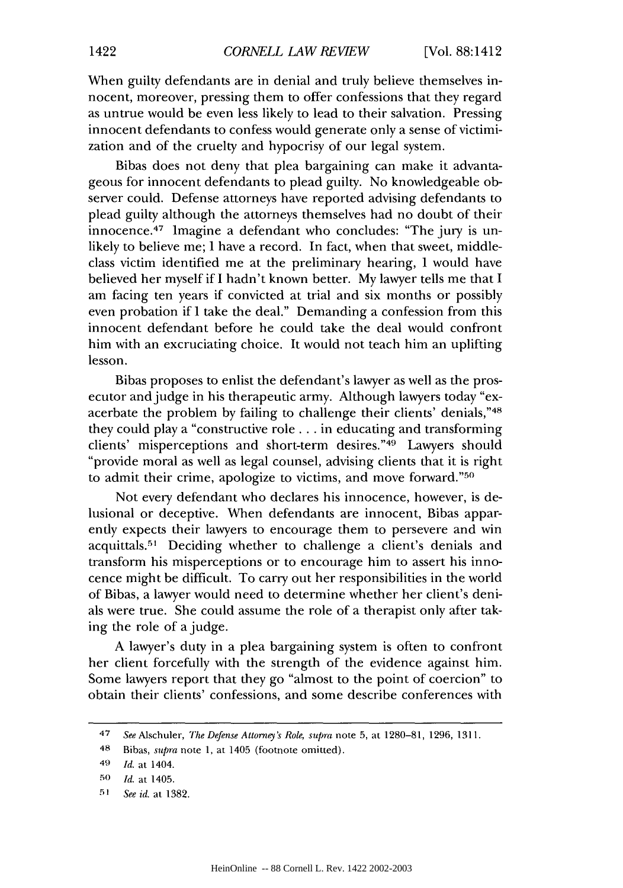When guilty defendants are in denial and truly believe themselves innocent, moreover, pressing them to offer confessions that they regard as untrue would be even less likely to lead to their salvation. Pressing innocent defendants to confess would generate only a sense of victimization and of the cruelty and hypocrisy of our legal system.

Bibas does not deny that plea bargaining can make it advantageous for innocent defendants to plead guilty. No knowledgeable observer could. Defense attorneys have reported advising defendants to plead guilty although the attorneys themselves had no doubt of their innocence. 47 Imagine a defendant who concludes: "The jury is unlikely to believe me; I have a record. In fact, when that sweet, middleclass victim identified me at the preliminary hearing, I would have believed her myself if I hadn't known better. My lawyer tells me that I am facing ten years if convicted at trial and six months or possibly even probation if I take the deal." Demanding a confession from this innocent defendant before he could take the deal would confront him with an excruciating choice. It would not teach him an uplifting lesson.

Bibas proposes to enlist the defendant's lawyer as well as the prosecutor and judge in his therapeutic army. Although lawyers today "exacerbate the problem by failing to challenge their clients' denials,"48 they could play a "constructive role **...** in educating and transforming clients' misperceptions and short-term desires. '49 Lawyers should "provide moral as well as legal counsel, advising clients that it is right to admit their crime, apologize to victims, and move forward."<sup>50</sup>

Not every defendant who declares his innocence, however, is delusional or deceptive. When defendants are innocent, Bibas apparently expects their lawyers to encourage them to persevere and win acquittals.<sup>51</sup> Deciding whether to challenge a client's denials and transform his misperceptions or to encourage him to assert his innocence might be difficult. To carry out her responsibilities in the world of Bibas, a lawyer would need to determine whether her client's denials were true. She could assume the role of a therapist only after taking the role of a judge.

A lawyer's duty in a plea bargaining system is often to confront her client forcefully with the strength of the evidence against him. Some lawyers report that they go "almost to the point of coercion" to obtain their clients' confessions, and some describe conferences with

<sup>47</sup> *See* Alschuler, *The Defense Attorney's Role, supra* note 5, at 1280-81, 1296, 1311.

<sup>48</sup> Bibas, *supra* note 1, at 1405 (footnote omitted).

<sup>49</sup> *Id.* at 1404.

**<sup>50</sup>** *Id.* at 1405.

**<sup>51</sup>***See id.* at 1382.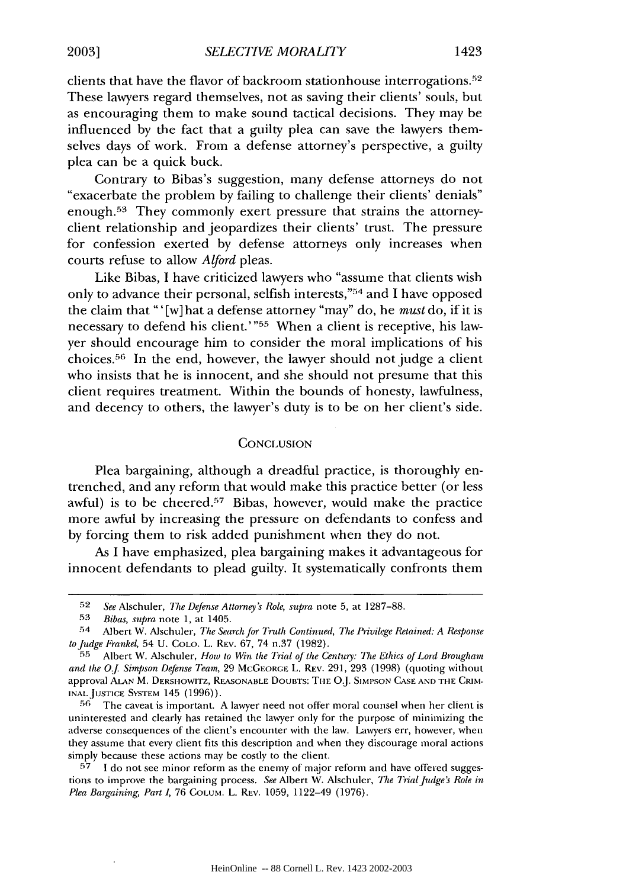clients that have the flavor of backroom stationhouse interrogations.<sup>52</sup> These lawyers regard themselves, not as saving their clients' souls, but as encouraging them to make sound tactical decisions. They may be influenced by the fact that a guilty plea can save the lawyers themselves days of work. From a defense attorney's perspective, a guilty plea can be a quick buck.

Contrary to Bibas's suggestion, many defense attorneys do not "exacerbate the problem by failing to challenge their clients' denials" enough.<sup>53</sup> They commonly exert pressure that strains the attorneyclient relationship and jeopardizes their clients' trust. The pressure for confession exerted by defense attorneys only increases when courts refuse to allow *Alford* pleas.

Like Bibas, I have criticized lawyers who "assume that clients wish only to advance their personal, selfish interests,"<sup>54</sup> and I have opposed the claim that "' [w] hat a defense attorney "may" do, he *must* do, if it is necessary to defend his client."'55 When a client is receptive, his lawyer should encourage him to consider the moral implications of his choices. 56 In the end, however, the lawyer should not judge a client who insists that he is innocent, and she should not presume that this client requires treatment. Within the bounds of honesty, lawfulness, and decency to others, the lawyer's duty is to be on her client's side.

#### **CONCLUSION**

Plea bargaining, although a dreadful practice, is thoroughly entrenched, and any reform that would make this practice better (or less awful) is to be cheered.<sup>57</sup> Bibas, however, would make the practice more awful by increasing the pressure on defendants to confess and by forcing them to risk added punishment when they do not.

As I have emphasized, plea bargaining makes it advantageous for innocent defendants to plead guilty. It systematically confronts them

**56** The caveat is important. A lawyer need not offer moral counsel when her client is uninterested and clearly has retained the lawyer only for the purpose of minimizing the adverse consequences of the client's encounter with the law. Lawyers err, however, when they assume that every client fits this description and when they discourage moral actions simply because these actions may be costly to the client.

**57 1** do not see minor reform as the enemy of major reform and have offered suggestions to improve the bargaining process. See Albert W. Alschuler, *The Trial Judge's Role in Plea Bargaining, Part I,* 76 COLUM. L. REV. 1059, 1122-49 (1976).

**<sup>52</sup>** *See* Alschuler, *The Defense Attorney's Role, supra* note 5, at 1287-88.

**<sup>53</sup>** *Bibas, supra* note 1, at 1405.

<sup>54</sup> Albert W. Alschuler, *The Search for Truth Continued, The Privilege Retained: A Response to Judge Frankel,* 54 U. CoLo. L. REv. 67, 74 n.37 (1982).

**<sup>55</sup>** Albert W. Alschuler, *How to Win the Trial of the Centuy: The Ethics of Lord Brougham and the O.J. Simpson Defense Team,* 29 **MCGEORGE** L. REV. 291, 293 (1998) (quoting without approval **ALAN** M. DERSHOWITZ, REASONABLE DOUBTS: **THE** O.J. **SIMPSON CASE AND THE** CRIM-**INALJUSTICE** SYSTEM 145 (1996)).